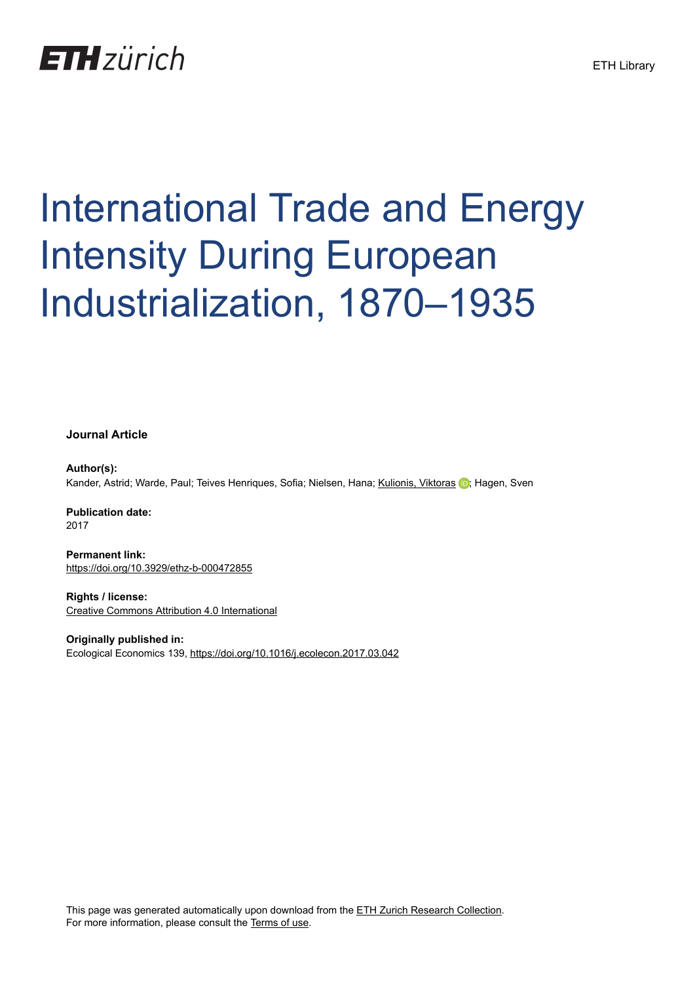

# International Trade and Energy Intensity During European Industrialization, 1870–1935

**Journal Article**

**Author(s):** Kander, Astrid; Warde, Paul; Teives Henriques, Sofia; Nielsen, Hana; [Kulionis, Viktoras](https://orcid.org/0000-0003-4908-5079) ib; Hagen, Sven

**Publication date:** 2017

**Permanent link:** <https://doi.org/10.3929/ethz-b-000472855>

**Rights / license:** [Creative Commons Attribution 4.0 International](http://creativecommons.org/licenses/by/4.0/)

**Originally published in:** Ecological Economics 139,<https://doi.org/10.1016/j.ecolecon.2017.03.042>

This page was generated automatically upon download from the [ETH Zurich Research Collection.](https://www.research-collection.ethz.ch) For more information, please consult the [Terms of use](https://www.research-collection.ethz.ch/terms-of-use).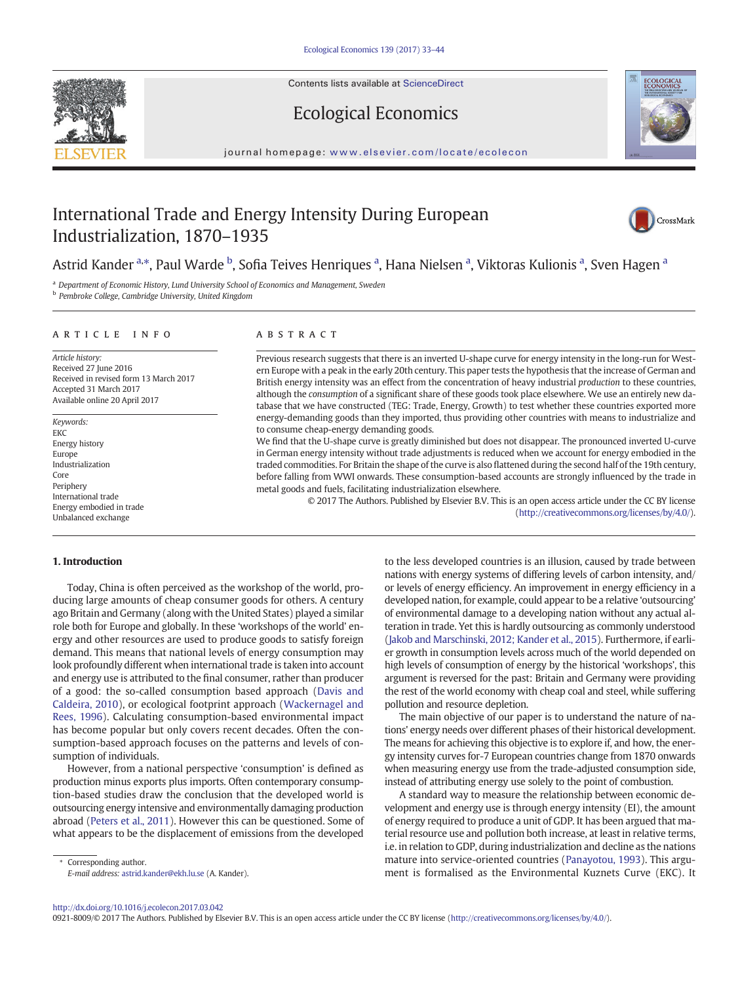Contents lists available at ScienceDirect





## Ecological Economics

journal homepage: <www.elsevier.com/locate/ecolecon>

## International Trade and Energy Intensity During European Industrialization, 1870–1935



## Astrid Kander <sup>a,</sup>\*, Paul Warde <sup>b</sup>, Sofia Teives Henriques <sup>a</sup>, Hana Nielsen <sup>a</sup>, Viktoras Kulionis <sup>a</sup>, Sven Hagen <sup>a</sup>

<sup>a</sup> Department of Economic History, Lund University School of Economics and Management, Sweden <sup>b</sup> Pembroke College, Cambridge University, United Kingdom

#### article info abstract

Article history: Received 27 June 2016 Received in revised form 13 March 2017 Accepted 31 March 2017 Available online 20 April 2017

Keywords: EKC Energy history Europe Industrialization Core Periphery International trade Energy embodied in trade Unbalanced exchange

Previous research suggests that there is an inverted U-shape curve for energy intensity in the long-run for Western Europe with a peak in the early 20th century. This paper tests the hypothesis that the increase of German and British energy intensity was an effect from the concentration of heavy industrial production to these countries, although the consumption of a significant share of these goods took place elsewhere. We use an entirely new database that we have constructed (TEG: Trade, Energy, Growth) to test whether these countries exported more energy-demanding goods than they imported, thus providing other countries with means to industrialize and to consume cheap-energy demanding goods.

We find that the U-shape curve is greatly diminished but does not disappear. The pronounced inverted U-curve in German energy intensity without trade adjustments is reduced when we account for energy embodied in the traded commodities. For Britain the shape of the curve is also flattened during the second half of the 19th century, before falling from WWI onwards. These consumption-based accounts are strongly influenced by the trade in metal goods and fuels, facilitating industrialization elsewhere.

© 2017 The Authors. Published by Elsevier B.V. This is an open access article under the CC BY license [\(http://creativecommons.org/licenses/by/4.0/\)](http://creativecommons.org/licenses/by/4.0/).

#### 1. Introduction

Today, China is often perceived as the workshop of the world, producing large amounts of cheap consumer goods for others. A century ago Britain and Germany (along with the United States) played a similar role both for Europe and globally. In these 'workshops of the world' energy and other resources are used to produce goods to satisfy foreign demand. This means that national levels of energy consumption may look profoundly different when international trade is taken into account and energy use is attributed to the final consumer, rather than producer of a good: the so-called consumption based approach [\(Davis and](#page-11-0) [Caldeira, 2010\)](#page-11-0), or ecological footprint approach [\(Wackernagel and](#page-12-0) [Rees, 1996\)](#page-12-0). Calculating consumption-based environmental impact has become popular but only covers recent decades. Often the consumption-based approach focuses on the patterns and levels of consumption of individuals.

However, from a national perspective 'consumption' is defined as production minus exports plus imports. Often contemporary consumption-based studies draw the conclusion that the developed world is outsourcing energy intensive and environmentally damaging production abroad [\(Peters et al., 2011\)](#page-11-0). However this can be questioned. Some of what appears to be the displacement of emissions from the developed

Corresponding author. E-mail address: [astrid.kander@ekh.lu.se](mailto:astrid.kander@ekh.lu.se) (A. Kander). to the less developed countries is an illusion, caused by trade between nations with energy systems of differing levels of carbon intensity, and/ or levels of energy efficiency. An improvement in energy efficiency in a developed nation, for example, could appear to be a relative 'outsourcing' of environmental damage to a developing nation without any actual alteration in trade. Yet this is hardly outsourcing as commonly understood [\(Jakob and Marschinski, 2012; Kander et al., 2015\)](#page-11-0). Furthermore, if earlier growth in consumption levels across much of the world depended on high levels of consumption of energy by the historical 'workshops', this argument is reversed for the past: Britain and Germany were providing the rest of the world economy with cheap coal and steel, while suffering pollution and resource depletion.

The main objective of our paper is to understand the nature of nations' energy needs over different phases of their historical development. The means for achieving this objective is to explore if, and how, the energy intensity curves for-7 European countries change from 1870 onwards when measuring energy use from the trade-adjusted consumption side, instead of attributing energy use solely to the point of combustion.

A standard way to measure the relationship between economic development and energy use is through energy intensity (EI), the amount of energy required to produce a unit of GDP. It has been argued that material resource use and pollution both increase, at least in relative terms, i.e. in relation to GDP, during industrialization and decline as the nations mature into service-oriented countries ([Panayotou, 1993](#page-11-0)). This argument is formalised as the Environmental Kuznets Curve (EKC). It

<http://dx.doi.org/10.1016/j.ecolecon.2017.03.042>

0921-8009/© 2017 The Authors. Published by Elsevier B.V. This is an open access article under the CC BY license [\(http://creativecommons.org/licenses/by/4.0/](http://creativecommons.org/licenses/by/4.0/)).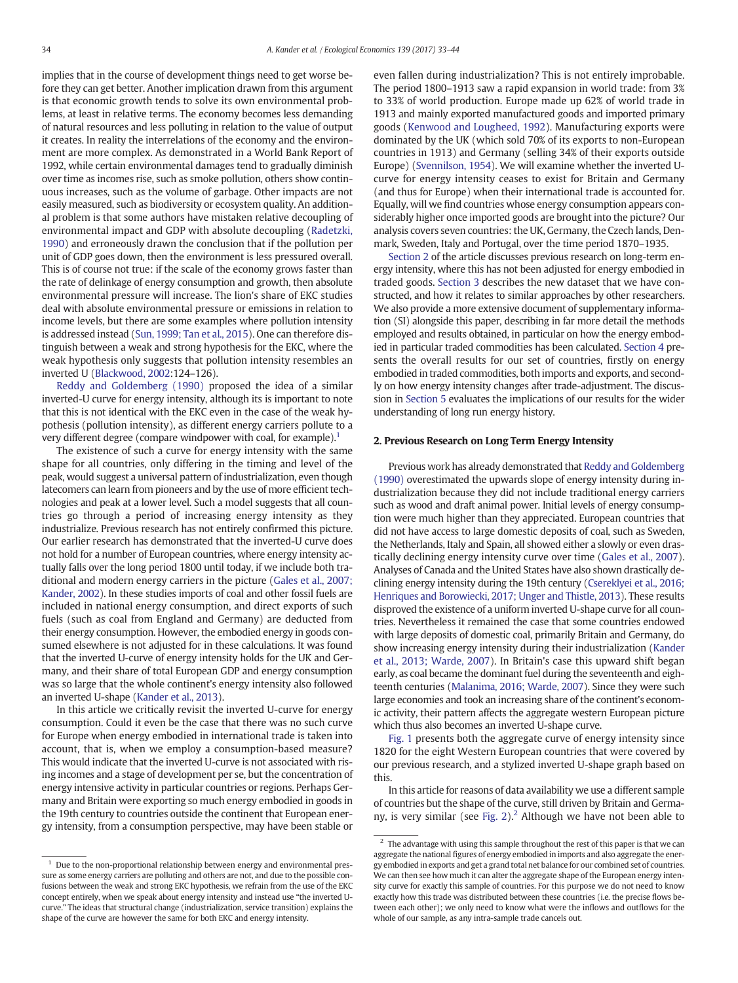implies that in the course of development things need to get worse before they can get better. Another implication drawn from this argument is that economic growth tends to solve its own environmental problems, at least in relative terms. The economy becomes less demanding of natural resources and less polluting in relation to the value of output it creates. In reality the interrelations of the economy and the environment are more complex. As demonstrated in a World Bank Report of 1992, while certain environmental damages tend to gradually diminish over time as incomes rise, such as smoke pollution, others show continuous increases, such as the volume of garbage. Other impacts are not easily measured, such as biodiversity or ecosystem quality. An additional problem is that some authors have mistaken relative decoupling of environmental impact and GDP with absolute decoupling [\(Radetzki,](#page-11-0) [1990\)](#page-11-0) and erroneously drawn the conclusion that if the pollution per unit of GDP goes down, then the environment is less pressured overall. This is of course not true: if the scale of the economy grows faster than the rate of delinkage of energy consumption and growth, then absolute environmental pressure will increase. The lion's share of EKC studies deal with absolute environmental pressure or emissions in relation to income levels, but there are some examples where pollution intensity is addressed instead [\(Sun, 1999; Tan et al., 2015](#page-11-0)). One can therefore distinguish between a weak and strong hypothesis for the EKC, where the weak hypothesis only suggests that pollution intensity resembles an inverted U ([Blackwood, 2002](#page-11-0):124–126).

[Reddy and Goldemberg \(1990\)](#page-11-0) proposed the idea of a similar inverted-U curve for energy intensity, although its is important to note that this is not identical with the EKC even in the case of the weak hypothesis (pollution intensity), as different energy carriers pollute to a very different degree (compare windpower with coal, for example).<sup>1</sup>

The existence of such a curve for energy intensity with the same shape for all countries, only differing in the timing and level of the peak, would suggest a universal pattern of industrialization, even though latecomers can learn from pioneers and by the use of more efficient technologies and peak at a lower level. Such a model suggests that all countries go through a period of increasing energy intensity as they industrialize. Previous research has not entirely confirmed this picture. Our earlier research has demonstrated that the inverted-U curve does not hold for a number of European countries, where energy intensity actually falls over the long period 1800 until today, if we include both traditional and modern energy carriers in the picture ([Gales et al., 2007;](#page-11-0) [Kander, 2002](#page-11-0)). In these studies imports of coal and other fossil fuels are included in national energy consumption, and direct exports of such fuels (such as coal from England and Germany) are deducted from their energy consumption. However, the embodied energy in goods consumed elsewhere is not adjusted for in these calculations. It was found that the inverted U-curve of energy intensity holds for the UK and Germany, and their share of total European GDP and energy consumption was so large that the whole continent's energy intensity also followed an inverted U-shape [\(Kander et al., 2013\)](#page-11-0).

In this article we critically revisit the inverted U-curve for energy consumption. Could it even be the case that there was no such curve for Europe when energy embodied in international trade is taken into account, that is, when we employ a consumption-based measure? This would indicate that the inverted U-curve is not associated with rising incomes and a stage of development per se, but the concentration of energy intensive activity in particular countries or regions. Perhaps Germany and Britain were exporting so much energy embodied in goods in the 19th century to countries outside the continent that European energy intensity, from a consumption perspective, may have been stable or

even fallen during industrialization? This is not entirely improbable. The period 1800–1913 saw a rapid expansion in world trade: from 3% to 33% of world production. Europe made up 62% of world trade in 1913 and mainly exported manufactured goods and imported primary goods [\(Kenwood and Lougheed, 1992](#page-11-0)). Manufacturing exports were dominated by the UK (which sold 70% of its exports to non-European countries in 1913) and Germany (selling 34% of their exports outside Europe) [\(Svennilson, 1954](#page-11-0)). We will examine whether the inverted Ucurve for energy intensity ceases to exist for Britain and Germany (and thus for Europe) when their international trade is accounted for. Equally, will we find countries whose energy consumption appears considerably higher once imported goods are brought into the picture? Our analysis covers seven countries: the UK, Germany, the Czech lands, Denmark, Sweden, Italy and Portugal, over the time period 1870–1935.

Section 2 of the article discusses previous research on long-term energy intensity, where this has not been adjusted for energy embodied in traded goods. [Section 3](#page-4-0) describes the new dataset that we have constructed, and how it relates to similar approaches by other researchers. We also provide a more extensive document of supplementary information (SI) alongside this paper, describing in far more detail the methods employed and results obtained, in particular on how the energy embodied in particular traded commodities has been calculated. [Section 4](#page-6-0) presents the overall results for our set of countries, firstly on energy embodied in traded commodities, both imports and exports, and secondly on how energy intensity changes after trade-adjustment. The discussion in [Section 5](#page-9-0) evaluates the implications of our results for the wider understanding of long run energy history.

#### 2. Previous Research on Long Term Energy Intensity

Previous work has already demonstrated that [Reddy and Goldemberg](#page-11-0) [\(1990\)](#page-11-0) overestimated the upwards slope of energy intensity during industrialization because they did not include traditional energy carriers such as wood and draft animal power. Initial levels of energy consumption were much higher than they appreciated. European countries that did not have access to large domestic deposits of coal, such as Sweden, the Netherlands, Italy and Spain, all showed either a slowly or even drastically declining energy intensity curve over time ([Gales et al., 2007](#page-11-0)). Analyses of Canada and the United States have also shown drastically declining energy intensity during the 19th century ([Csereklyei et al., 2016;](#page-11-0) [Henriques and Borowiecki, 2017; Unger and Thistle, 2013\)](#page-11-0). These results disproved the existence of a uniform inverted U-shape curve for all countries. Nevertheless it remained the case that some countries endowed with large deposits of domestic coal, primarily Britain and Germany, do show increasing energy intensity during their industrialization [\(Kander](#page-11-0) [et al., 2013; Warde, 2007\)](#page-11-0). In Britain's case this upward shift began early, as coal became the dominant fuel during the seventeenth and eighteenth centuries [\(Malanima, 2016; Warde, 2007](#page-11-0)). Since they were such large economies and took an increasing share of the continent's economic activity, their pattern affects the aggregate western European picture which thus also becomes an inverted U-shape curve.

[Fig. 1](#page-3-0) presents both the aggregate curve of energy intensity since 1820 for the eight Western European countries that were covered by our previous research, and a stylized inverted U-shape graph based on this.

In this article for reasons of data availability we use a different sample of countries but the shape of the curve, still driven by Britain and Germany, is very similar (see Fig.  $2$ ).<sup>2</sup> Although we have not been able to

 $^{\rm 1}$  Due to the non-proportional relationship between energy and environmental pressure as some energy carriers are polluting and others are not, and due to the possible confusions between the weak and strong EKC hypothesis, we refrain from the use of the EKC concept entirely, when we speak about energy intensity and instead use "the inverted Ucurve." The ideas that structural change (industrialization, service transition) explains the shape of the curve are however the same for both EKC and energy intensity.

 $^{\rm 2}$  The advantage with using this sample throughout the rest of this paper is that we can aggregate the national figures of energy embodied in imports and also aggregate the energy embodied in exports and get a grand total net balance for our combined set of countries. We can then see how much it can alter the aggregate shape of the European energy intensity curve for exactly this sample of countries. For this purpose we do not need to know exactly how this trade was distributed between these countries (i.e. the precise flows between each other); we only need to know what were the inflows and outflows for the whole of our sample, as any intra-sample trade cancels out.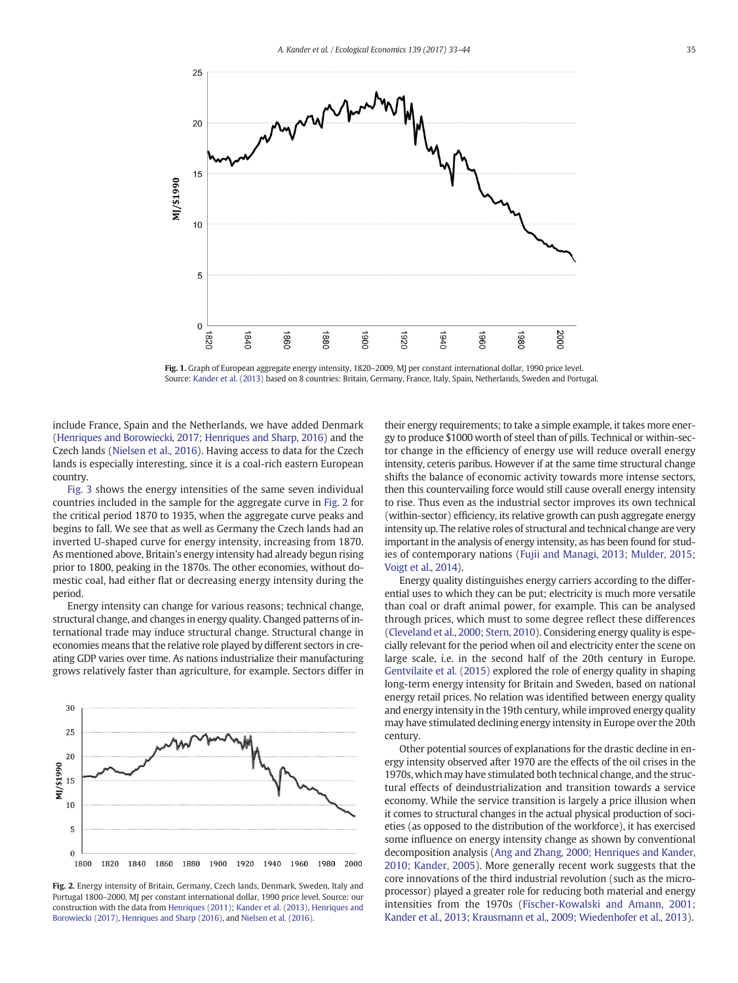<span id="page-3-0"></span>

Fig. 1. Graph of European aggregate energy intensity, 1820-2009, MJ per constant international dollar, 1990 price level. Source: [Kander et al. \(2013\)](#page-11-0) based on 8 countries: Britain, Germany, France, Italy, Spain, Netherlands, Sweden and Portugal.

include France, Spain and the Netherlands, we have added Denmark (Henriques and Borowiecki, [2017; Henriques and Sharp, 2016](#page-11-0)) and the Czech lands ([Nielsen et al., 2016](#page-11-0)). Having access to data for the Czech lands is especially interesting, since it is a coal-rich eastern European country.

[Fig. 3](#page-4-0) shows the energy intensities of the same seven individual countries included in the sample for the aggregate curve in Fig. 2 for the critical period 1870 to 1935, when the aggregate curve peaks and begins to fall. We see that as well as Germany the Czech lands had an inverted U-shaped curve for energy intensity, increasing from 1870. As mentioned above, Britain's energy intensity had already begun rising prior to 1800, peaking in the 1870s. The other economies, without domestic coal, had either flat or decreasing energy intensity during the period.

Energy intensity can change for various reasons; technical change, structural change, and changes in energy quality. Changed patterns of international trade may induce structural change. Structural change in economies means that the relative role played by different sectors in creating GDP varies over time. As nations industrialize their manufacturing grows relatively faster than agriculture, for example. Sectors differ in



Fig. 2. Energy intensity of Britain, Germany, Czech lands, Denmark, Sweden, Italy and Portugal 1800–2000, MJ per constant international dollar, 1990 price level. Source: our construction with the data from [Henriques \(2011\);](#page-11-0) [Kander et al. \(2013\)](#page-11-0), [Henriques and](#page-11-0) [Borowiecki \(2017\)](#page-11-0), [Henriques and Sharp \(2016\)](#page-11-0), and [Nielsen et al. \(2016\)](#page-11-0).

their energy requirements; to take a simple example, it takes more energy to produce \$1000 worth of steel than of pills. Technical or within-sector change in the efficiency of energy use will reduce overall energy intensity, ceteris paribus. However if at the same time structural change shifts the balance of economic activity towards more intense sectors, then this countervailing force would still cause overall energy intensity to rise. Thus even as the industrial sector improves its own technical (within-sector) efficiency, its relative growth can push aggregate energy intensity up. The relative roles of structural and technical change are very important in the analysis of energy intensity, as has been found for studies of contemporary nations ([Fujii and Managi, 2013; Mulder, 2015;](#page-11-0) [Voigt et al., 2014](#page-11-0)).

Energy quality distinguishes energy carriers according to the differential uses to which they can be put; electricity is much more versatile than coal or draft animal power, for example. This can be analysed through prices, which must to some degree reflect these differences [\(Cleveland et al., 2000; Stern, 2010](#page-11-0)). Considering energy quality is especially relevant for the period when oil and electricity enter the scene on large scale, i.e. in the second half of the 20th century in Europe. [Gentvilaite et al. \(2015\)](#page-11-0) explored the role of energy quality in shaping long-term energy intensity for Britain and Sweden, based on national energy retail prices. No relation was identified between energy quality and energy intensity in the 19th century, while improved energy quality may have stimulated declining energy intensity in Europe over the 20th century.

Other potential sources of explanations for the drastic decline in energy intensity observed after 1970 are the effects of the oil crises in the 1970s, which may have stimulated both technical change, and the structural effects of deindustrialization and transition towards a service economy. While the service transition is largely a price illusion when it comes to structural changes in the actual physical production of societies (as opposed to the distribution of the workforce), it has exercised some influence on energy intensity change as shown by conventional decomposition analysis [\(Ang and Zhang, 2000; Henriques and Kander,](#page-11-0) [2010; Kander, 2005\)](#page-11-0). More generally recent work suggests that the core innovations of the third industrial revolution (such as the microprocessor) played a greater role for reducing both material and energy intensities from the 1970s ([Fischer-Kowalski and Amann, 2001;](#page-11-0) [Kander et al., 2013; Krausmann et al., 2009; Wiedenhofer et al., 2013\)](#page-11-0).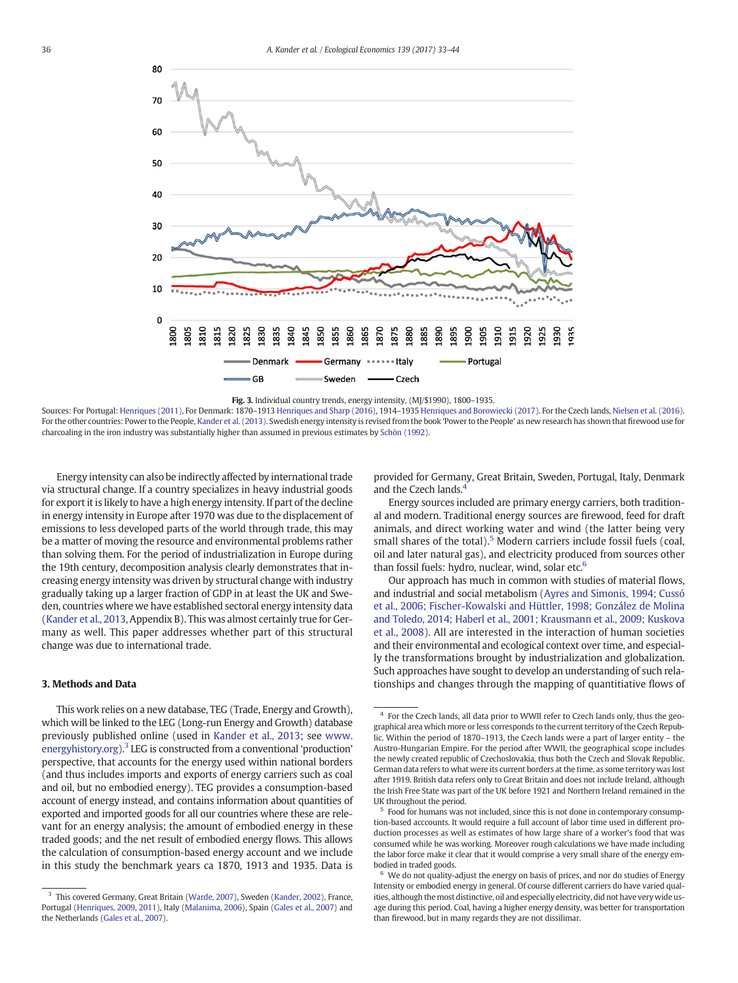<span id="page-4-0"></span>

Fig. 3. Individual country trends, energy intensity, (MJ/\$1990), 1800–1935.

Sources: For Portugal: [Henriques \(2011\),](#page-11-0) For Denmark: 1870–1913 [Henriques and Sharp \(2016\)](#page-11-0), 1914–1935 [Henriques and Borowiecki \(2017\).](#page-11-0) For the Czech lands, [Nielsen et al. \(2016\)](#page-11-0). For the other countries: Power to the People, [Kander et al. \(2013\).](#page-11-0) Swedish energy intensity is revised from the book 'Power to the People' as new research has shown that firewood use for charcoaling in the iron industry was substantially higher than assumed in previous estimates by [Schön \(1992\).](#page-11-0)

Energy intensity can also be indirectly affected by international trade via structural change. If a country specializes in heavy industrial goods for export it is likely to have a high energy intensity. If part of the decline in energy intensity in Europe after 1970 was due to the displacement of emissions to less developed parts of the world through trade, this may be a matter of moving the resource and environmental problems rather than solving them. For the period of industrialization in Europe during the 19th century, decomposition analysis clearly demonstrates that increasing energy intensity was driven by structural change with industry gradually taking up a larger fraction of GDP in at least the UK and Sweden, countries where we have established sectoral energy intensity data [\(Kander et al., 2013,](#page-11-0) Appendix B). This was almost certainly true for Germany as well. This paper addresses whether part of this structural change was due to international trade.

#### 3. Methods and Data

This work relies on a new database, TEG (Trade, Energy and Growth), which will be linked to the LEG (Long-run Energy and Growth) database previously published online (used in [Kander et al., 2013](#page-11-0); see [www.](http://www.energyhistory.org) [energyhistory.org](http://www.energyhistory.org)).<sup>3</sup> LEG is constructed from a conventional 'production' perspective, that accounts for the energy used within national borders (and thus includes imports and exports of energy carriers such as coal and oil, but no embodied energy). TEG provides a consumption-based account of energy instead, and contains information about quantities of exported and imported goods for all our countries where these are relevant for an energy analysis; the amount of embodied energy in these traded goods; and the net result of embodied energy flows. This allows the calculation of consumption-based energy account and we include in this study the benchmark years ca 1870, 1913 and 1935. Data is

provided for Germany, Great Britain, Sweden, Portugal, Italy, Denmark and the Czech lands.<sup>4</sup>

Energy sources included are primary energy carriers, both traditional and modern. Traditional energy sources are firewood, feed for draft animals, and direct working water and wind (the latter being very small shares of the total).<sup>5</sup> Modern carriers include fossil fuels (coal, oil and later natural gas), and electricity produced from sources other than fossil fuels: hydro, nuclear, wind, solar etc.<sup>6</sup>

Our approach has much in common with studies of material flows, and industrial and social metabolism [\(Ayres and Simonis, 1994; Cussó](#page-11-0) [et al., 2006; Fischer-Kowalski and Hüttler, 1998; González de Molina](#page-11-0) [and Toledo, 2014; Haberl et al., 2001; Krausmann et al., 2009; Kuskova](#page-11-0) [et al., 2008](#page-11-0)). All are interested in the interaction of human societies and their environmental and ecological context over time, and especially the transformations brought by industrialization and globalization. Such approaches have sought to develop an understanding of such relationships and changes through the mapping of quantitiative flows of

<sup>&</sup>lt;sup>3</sup> This covered Germany, Great Britain [\(Warde, 2007\)](#page-12-0), Sweden [\(Kander, 2002\)](#page-11-0), France, Portugal [\(Henriques, 2009, 2011](#page-11-0)), Italy [\(Malanima, 2006](#page-11-0)), Spain [\(Gales et al., 2007\)](#page-11-0) and the Netherlands ([Gales et al., 2007](#page-11-0)).

<sup>4</sup> For the Czech lands, all data prior to WWII refer to Czech lands only, thus the geographical area which more or less corresponds to the current territory of the Czech Republic. Within the period of 1870–1913, the Czech lands were a part of larger entity – the Austro-Hungarian Empire. For the period after WWII, the geographical scope includes the newly created republic of Czechoslovakia, thus both the Czech and Slovak Republic. German data refers to what were its current borders at the time, as some territory was lost after 1919. British data refers only to Great Britain and does not include Ireland, although the Irish Free State was part of the UK before 1921 and Northern Ireland remained in the UK throughout the period.

 $5$  Food for humans was not included, since this is not done in contemporary consumption-based acccounts. It would require a full account of labor time used in different production processes as well as estimates of how large share of a worker's food that was consumed while he was working. Moreover rough calculations we have made including the labor force make it clear that it would comprise a very small share of the energy embodied in traded goods.

 $6\,$  We do not quality-adjust the energy on basis of prices, and nor do studies of Energy Intensity or embodied energy in general. Of course different carriers do have varied qualities, although the most distinctive, oil and especially electricity, did not have very wide usage during this period. Coal, having a higher energy density, was better for transportation than firewood, but in many regards they are not dissilimar.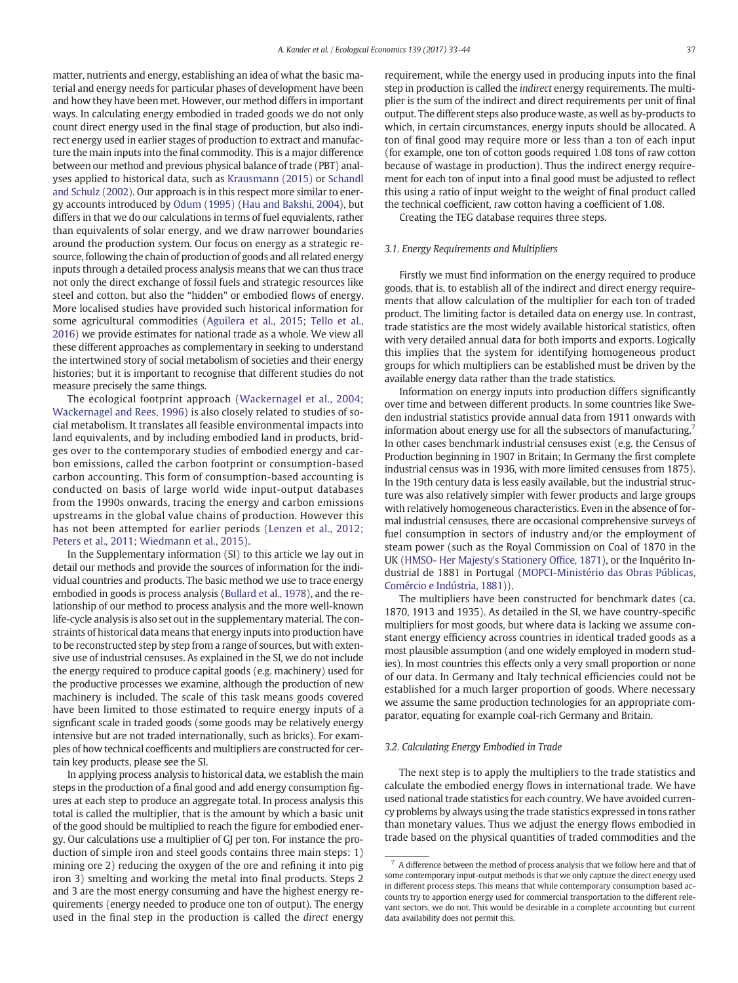matter, nutrients and energy, establishing an idea of what the basic material and energy needs for particular phases of development have been and how they have been met. However, our method differs in important ways. In calculating energy embodied in traded goods we do not only count direct energy used in the final stage of production, but also indirect energy used in earlier stages of production to extract and manufacture the main inputs into the final commodity. This is a major difference between our method and previous physical balance of trade (PBT) analyses applied to historical data, such as [Krausmann \(2015\)](#page-11-0) or [Schandl](#page-11-0) [and Schulz \(2002\)](#page-11-0). Our approach is in this respect more similar to energy accounts introduced by [Odum \(1995\)](#page-11-0) ([Hau and Bakshi, 2004\)](#page-11-0), but differs in that we do our calculations in terms of fuel equvialents, rather than equivalents of solar energy, and we draw narrower boundaries around the production system. Our focus on energy as a strategic resource, following the chain of production of goods and all related energy inputs through a detailed process analysis means that we can thus trace not only the direct exchange of fossil fuels and strategic resources like steel and cotton, but also the "hidden" or embodied flows of energy. More localised studies have provided such historical information for some agricultural commodities ([Aguilera et al., 2015; Tello et al.,](#page-11-0) [2016](#page-11-0)) we provide estimates for national trade as a whole. We view all these different approaches as complementary in seeking to understand the intertwined story of social metabolism of societies and their energy histories; but it is important to recognise that different studies do not measure precisely the same things.

The ecological footprint approach ([Wackernagel et al., 2004;](#page-12-0) [Wackernagel and Rees, 1996\)](#page-12-0) is also closely related to studies of social metabolism. It translates all feasible environmental impacts into land equivalents, and by including embodied land in products, bridges over to the contemporary studies of embodied energy and carbon emissions, called the carbon footprint or consumption-based carbon accounting. This form of consumption-based accounting is conducted on basis of large world wide input-output databases from the 1990s onwards, tracing the energy and carbon emissions upstreams in the global value chains of production. However this has not been attempted for earlier periods ([Lenzen et al., 2012;](#page-11-0) [Peters et al., 2011; Wiedmann et al., 2015\)](#page-11-0).

In the Supplementary information (SI) to this article we lay out in detail our methods and provide the sources of information for the individual countries and products. The basic method we use to trace energy embodied in goods is process analysis ([Bullard et al., 1978](#page-11-0)), and the relationship of our method to process analysis and the more well-known life-cycle analysis is also set out in the supplementary material. The constraints of historical data means that energy inputs into production have to be reconstructed step by step from a range of sources, but with extensive use of industrial censuses. As explained in the SI, we do not include the energy required to produce capital goods (e.g. machinery) used for the productive processes we examine, although the production of new machinery is included. The scale of this task means goods covered have been limited to those estimated to require energy inputs of a signficant scale in traded goods (some goods may be relatively energy intensive but are not traded internationally, such as bricks). For examples of how technical coefficents and multipliers are constructed for certain key products, please see the SI.

In applying process analysis to historical data, we establish the main steps in the production of a final good and add energy consumption figures at each step to produce an aggregate total. In process analysis this total is called the multiplier, that is the amount by which a basic unit of the good should be multiplied to reach the figure for embodied energy. Our calculations use a multiplier of GJ per ton. For instance the production of simple iron and steel goods contains three main steps: 1) mining ore 2) reducing the oxygen of the ore and refining it into pig iron 3) smelting and working the metal into final products. Steps 2 and 3 are the most energy consuming and have the highest energy requirements (energy needed to produce one ton of output). The energy used in the final step in the production is called the direct energy requirement, while the energy used in producing inputs into the final step in production is called the indirect energy requirements. The multiplier is the sum of the indirect and direct requirements per unit of final output. The different steps also produce waste, as well as by-products to which, in certain circumstances, energy inputs should be allocated. A ton of final good may require more or less than a ton of each input (for example, one ton of cotton goods required 1.08 tons of raw cotton because of wastage in production). Thus the indirect energy requirement for each ton of input into a final good must be adjusted to reflect this using a ratio of input weight to the weight of final product called the technical coefficient, raw cotton having a coefficient of 1.08.

Creating the TEG database requires three steps.

#### 3.1. Energy Requirements and Multipliers

Firstly we must find information on the energy required to produce goods, that is, to establish all of the indirect and direct energy requirements that allow calculation of the multiplier for each ton of traded product. The limiting factor is detailed data on energy use. In contrast, trade statistics are the most widely available historical statistics, often with very detailed annual data for both imports and exports. Logically this implies that the system for identifying homogeneous product groups for which multipliers can be established must be driven by the available energy data rather than the trade statistics.

Information on energy inputs into production differs significantly over time and between different products. In some countries like Sweden industrial statistics provide annual data from 1911 onwards with information about energy use for all the subsectors of manufacturing.<sup>7</sup> In other cases benchmark industrial censuses exist (e.g. the Census of Production beginning in 1907 in Britain; In Germany the first complete industrial census was in 1936, with more limited censuses from 1875). In the 19th century data is less easily available, but the industrial structure was also relatively simpler with fewer products and large groups with relatively homogeneous characteristics. Even in the absence of formal industrial censuses, there are occasional comprehensive surveys of fuel consumption in sectors of industry and/or the employment of steam power (such as the Royal Commission on Coal of 1870 in the UK ([HMSO- Her Majesty's Stationery Of](#page-11-0)fice, 1871), or the Inquérito Industrial de 1881 in Portugal ([MOPCI-Ministério das Obras Públicas,](#page-11-0) [Comércio e Indústria, 1881\)](#page-11-0)).

The multipliers have been constructed for benchmark dates (ca. 1870, 1913 and 1935). As detailed in the SI, we have country-specific multipliers for most goods, but where data is lacking we assume constant energy efficiency across countries in identical traded goods as a most plausible assumption (and one widely employed in modern studies). In most countries this effects only a very small proportion or none of our data. In Germany and Italy technical efficiencies could not be established for a much larger proportion of goods. Where necessary we assume the same production technologies for an appropriate comparator, equating for example coal-rich Germany and Britain.

#### 3.2. Calculating Energy Embodied in Trade

The next step is to apply the multipliers to the trade statistics and calculate the embodied energy flows in international trade. We have used national trade statistics for each country. We have avoided currency problems by always using the trade statistics expressed in tons rather than monetary values. Thus we adjust the energy flows embodied in trade based on the physical quantities of traded commodities and the

 $7\,$  A difference between the method of process analysis that we follow here and that of some contemporary input-output methods is that we only capture the direct energy used in different process steps. This means that while contemporary consumption based accounts try to apportion energy used for commercial transportation to the different relevant sectors, we do not. This would be desirable in a complete accounting but current data availability does not permit this.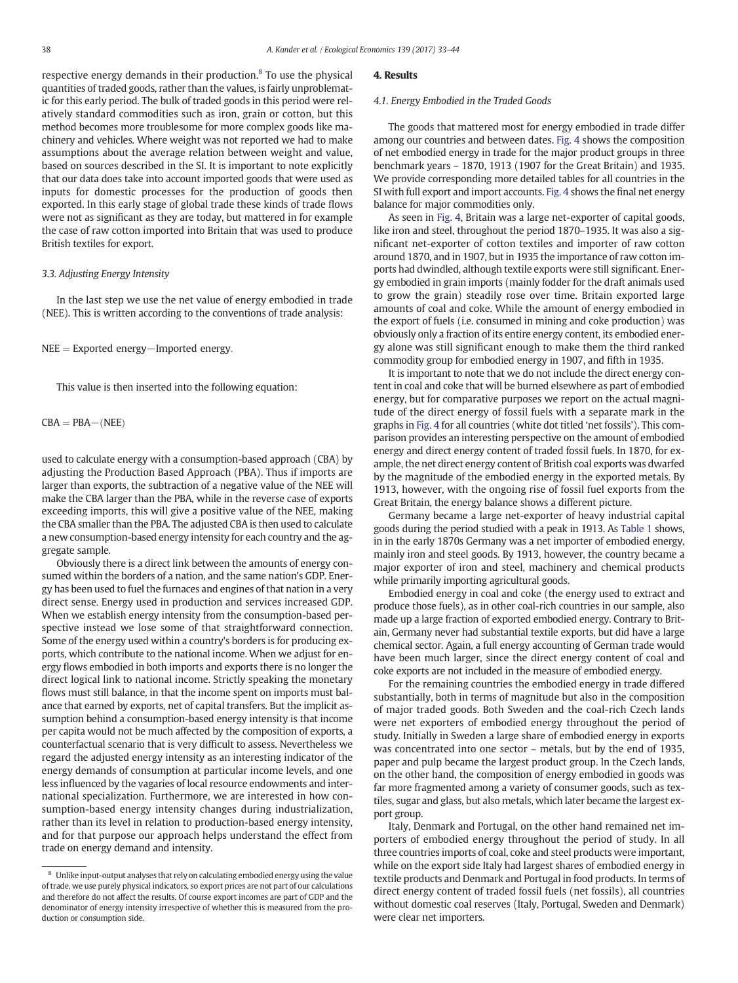<span id="page-6-0"></span>respective energy demands in their production. $8$  To use the physical quantities of traded goods, rather than the values, is fairly unproblematic for this early period. The bulk of traded goods in this period were relatively standard commodities such as iron, grain or cotton, but this method becomes more troublesome for more complex goods like machinery and vehicles. Where weight was not reported we had to make assumptions about the average relation between weight and value, based on sources described in the SI. It is important to note explicitly that our data does take into account imported goods that were used as inputs for domestic processes for the production of goods then exported. In this early stage of global trade these kinds of trade flows were not as significant as they are today, but mattered in for example the case of raw cotton imported into Britain that was used to produce British textiles for export.

#### 3.3. Adjusting Energy Intensity

In the last step we use the net value of energy embodied in trade (NEE). This is written according to the conventions of trade analysis:

NEE = Exported energy−Imported energy.

This value is then inserted into the following equation:

#### $CBA = PBA-(NEE)$

used to calculate energy with a consumption-based approach (CBA) by adjusting the Production Based Approach (PBA). Thus if imports are larger than exports, the subtraction of a negative value of the NEE will make the CBA larger than the PBA, while in the reverse case of exports exceeding imports, this will give a positive value of the NEE, making the CBA smaller than the PBA. The adjusted CBA is then used to calculate a new consumption-based energy intensity for each country and the aggregate sample.

Obviously there is a direct link between the amounts of energy consumed within the borders of a nation, and the same nation's GDP. Energy has been used to fuel the furnaces and engines of that nation in a very direct sense. Energy used in production and services increased GDP. When we establish energy intensity from the consumption-based perspective instead we lose some of that straightforward connection. Some of the energy used within a country's borders is for producing exports, which contribute to the national income. When we adjust for energy flows embodied in both imports and exports there is no longer the direct logical link to national income. Strictly speaking the monetary flows must still balance, in that the income spent on imports must balance that earned by exports, net of capital transfers. But the implicit assumption behind a consumption-based energy intensity is that income per capita would not be much affected by the composition of exports, a counterfactual scenario that is very difficult to assess. Nevertheless we regard the adjusted energy intensity as an interesting indicator of the energy demands of consumption at particular income levels, and one less influenced by the vagaries of local resource endowments and international specialization. Furthermore, we are interested in how consumption-based energy intensity changes during industrialization, rather than its level in relation to production-based energy intensity, and for that purpose our approach helps understand the effect from trade on energy demand and intensity.

#### 4. Results

#### 4.1. Energy Embodied in the Traded Goods

The goods that mattered most for energy embodied in trade differ among our countries and between dates. [Fig. 4](#page-7-0) shows the composition of net embodied energy in trade for the major product groups in three benchmark years – 1870, 1913 (1907 for the Great Britain) and 1935. We provide corresponding more detailed tables for all countries in the SI with full export and import accounts. [Fig. 4](#page-7-0) shows the final net energy balance for major commodities only.

As seen in [Fig. 4,](#page-7-0) Britain was a large net-exporter of capital goods, like iron and steel, throughout the period 1870–1935. It was also a significant net-exporter of cotton textiles and importer of raw cotton around 1870, and in 1907, but in 1935 the importance of raw cotton imports had dwindled, although textile exports were still significant. Energy embodied in grain imports (mainly fodder for the draft animals used to grow the grain) steadily rose over time. Britain exported large amounts of coal and coke. While the amount of energy embodied in the export of fuels (i.e. consumed in mining and coke production) was obviously only a fraction of its entire energy content, its embodied energy alone was still significant enough to make them the third ranked commodity group for embodied energy in 1907, and fifth in 1935.

It is important to note that we do not include the direct energy content in coal and coke that will be burned elsewhere as part of embodied energy, but for comparative purposes we report on the actual magnitude of the direct energy of fossil fuels with a separate mark in the graphs in [Fig. 4](#page-7-0) for all countries (white dot titled 'net fossils'). This comparison provides an interesting perspective on the amount of embodied energy and direct energy content of traded fossil fuels. In 1870, for example, the net direct energy content of British coal exports was dwarfed by the magnitude of the embodied energy in the exported metals. By 1913, however, with the ongoing rise of fossil fuel exports from the Great Britain, the energy balance shows a different picture.

Germany became a large net-exporter of heavy industrial capital goods during the period studied with a peak in 1913. As [Table 1](#page-9-0) shows, in in the early 1870s Germany was a net importer of embodied energy, mainly iron and steel goods. By 1913, however, the country became a major exporter of iron and steel, machinery and chemical products while primarily importing agricultural goods.

Embodied energy in coal and coke (the energy used to extract and produce those fuels), as in other coal-rich countries in our sample, also made up a large fraction of exported embodied energy. Contrary to Britain, Germany never had substantial textile exports, but did have a large chemical sector. Again, a full energy accounting of German trade would have been much larger, since the direct energy content of coal and coke exports are not included in the measure of embodied energy.

For the remaining countries the embodied energy in trade differed substantially, both in terms of magnitude but also in the composition of major traded goods. Both Sweden and the coal-rich Czech lands were net exporters of embodied energy throughout the period of study. Initially in Sweden a large share of embodied energy in exports was concentrated into one sector – metals, but by the end of 1935, paper and pulp became the largest product group. In the Czech lands, on the other hand, the composition of energy embodied in goods was far more fragmented among a variety of consumer goods, such as textiles, sugar and glass, but also metals, which later became the largest export group.

Italy, Denmark and Portugal, on the other hand remained net importers of embodied energy throughout the period of study. In all three countries imports of coal, coke and steel products were important, while on the export side Italy had largest shares of embodied energy in textile products and Denmark and Portugal in food products. In terms of direct energy content of traded fossil fuels (net fossils), all countries without domestic coal reserves (Italy, Portugal, Sweden and Denmark) were clear net importers.

<sup>&</sup>lt;sup>8</sup> Unlike input-output analyses that rely on calculating embodied energy using the value of trade, we use purely physical indicators, so export prices are not part of our calculations and therefore do not affect the results. Of course export incomes are part of GDP and the denominator of energy intensity irrespective of whether this is measured from the production or consumption side.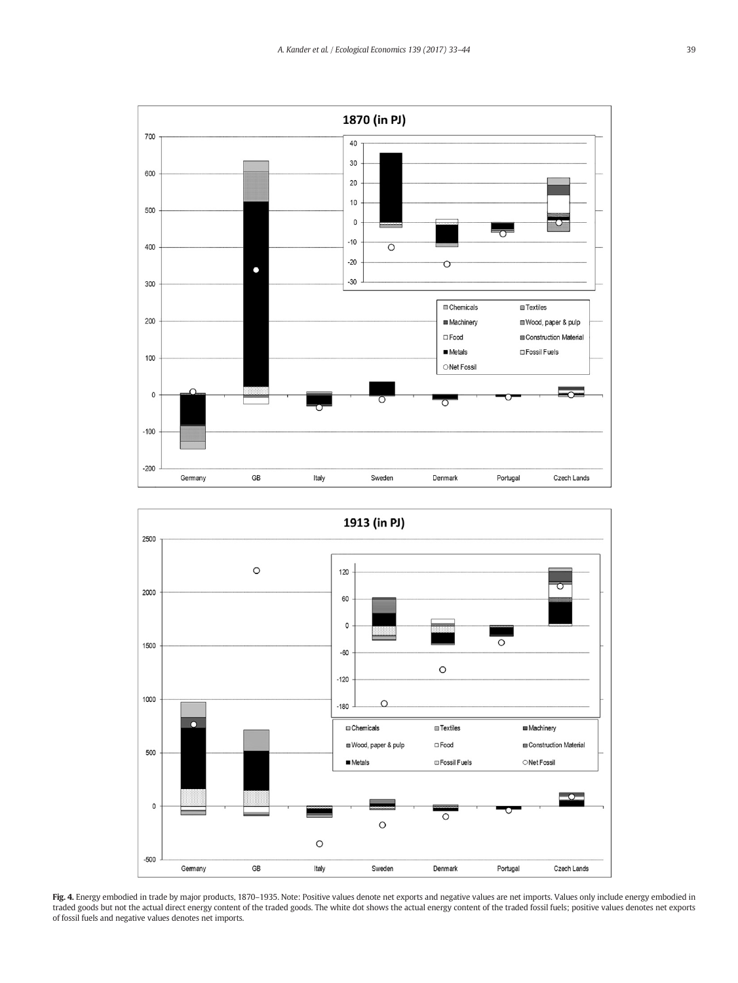<span id="page-7-0"></span>



Fig. 4. Energy embodied in trade by major products, 1870-1935. Note: Positive values denote net exports and negative values are net imports. Values only include energy embodied in traded goods but not the actual direct energy content of the traded goods. The white dot shows the actual energy content of the traded fossil fuels; positive values denotes net exports of fossil fuels and negative values denotes net imports.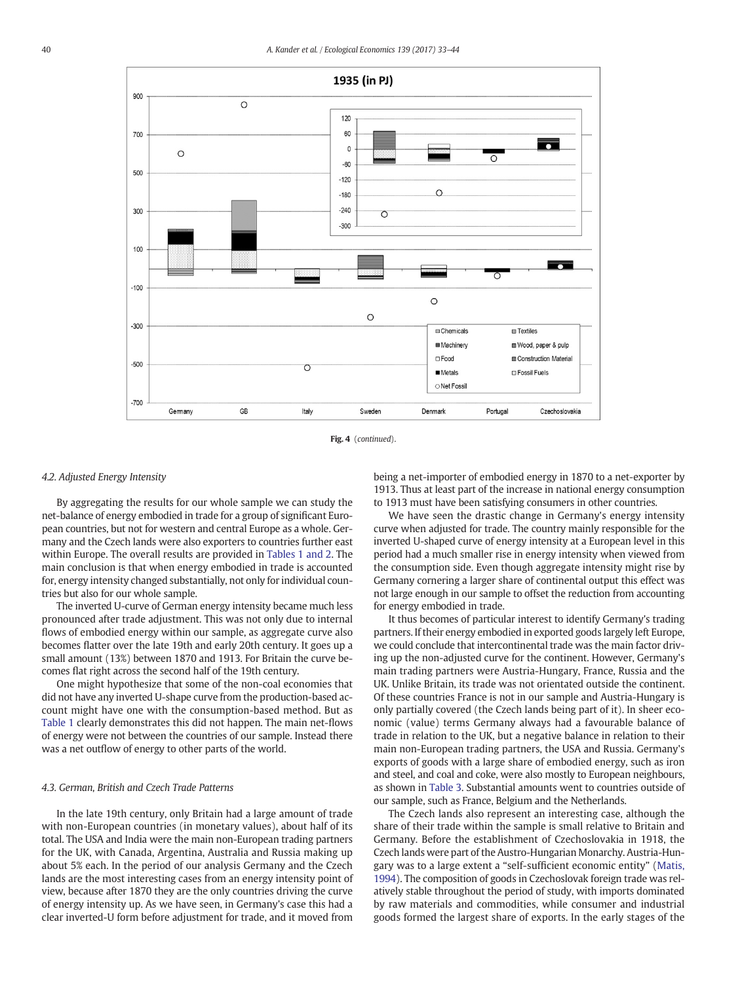

Fig. 4 (continued).

#### 4.2. Adjusted Energy Intensity

By aggregating the results for our whole sample we can study the net-balance of energy embodied in trade for a group of significant European countries, but not for western and central Europe as a whole. Germany and the Czech lands were also exporters to countries further east within Europe. The overall results are provided in [Tables 1 and 2](#page-9-0). The main conclusion is that when energy embodied in trade is accounted for, energy intensity changed substantially, not only for individual countries but also for our whole sample.

The inverted U-curve of German energy intensity became much less pronounced after trade adjustment. This was not only due to internal flows of embodied energy within our sample, as aggregate curve also becomes flatter over the late 19th and early 20th century. It goes up a small amount (13%) between 1870 and 1913. For Britain the curve becomes flat right across the second half of the 19th century.

One might hypothesize that some of the non-coal economies that did not have any inverted U-shape curve from the production-based account might have one with the consumption-based method. But as [Table 1](#page-9-0) clearly demonstrates this did not happen. The main net-flows of energy were not between the countries of our sample. Instead there was a net outflow of energy to other parts of the world.

#### 4.3. German, British and Czech Trade Patterns

In the late 19th century, only Britain had a large amount of trade with non-European countries (in monetary values), about half of its total. The USA and India were the main non-European trading partners for the UK, with Canada, Argentina, Australia and Russia making up about 5% each. In the period of our analysis Germany and the Czech lands are the most interesting cases from an energy intensity point of view, because after 1870 they are the only countries driving the curve of energy intensity up. As we have seen, in Germany's case this had a clear inverted-U form before adjustment for trade, and it moved from

being a net-importer of embodied energy in 1870 to a net-exporter by 1913. Thus at least part of the increase in national energy consumption to 1913 must have been satisfying consumers in other countries.

We have seen the drastic change in Germany's energy intensity curve when adjusted for trade. The country mainly responsible for the inverted U-shaped curve of energy intensity at a European level in this period had a much smaller rise in energy intensity when viewed from the consumption side. Even though aggregate intensity might rise by Germany cornering a larger share of continental output this effect was not large enough in our sample to offset the reduction from accounting for energy embodied in trade.

It thus becomes of particular interest to identify Germany's trading partners. If their energy embodied in exported goods largely left Europe, we could conclude that intercontinental trade was the main factor driving up the non-adjusted curve for the continent. However, Germany's main trading partners were Austria-Hungary, France, Russia and the UK. Unlike Britain, its trade was not orientated outside the continent. Of these countries France is not in our sample and Austria-Hungary is only partially covered (the Czech lands being part of it). In sheer economic (value) terms Germany always had a favourable balance of trade in relation to the UK, but a negative balance in relation to their main non-European trading partners, the USA and Russia. Germany's exports of goods with a large share of embodied energy, such as iron and steel, and coal and coke, were also mostly to European neighbours, as shown in [Table 3.](#page-10-0) Substantial amounts went to countries outside of our sample, such as France, Belgium and the Netherlands.

The Czech lands also represent an interesting case, although the share of their trade within the sample is small relative to Britain and Germany. Before the establishment of Czechoslovakia in 1918, the Czech lands were part of the Austro-Hungarian Monarchy. Austria-Hungary was to a large extent a "self-sufficient economic entity" ([Matis,](#page-11-0) [1994\)](#page-11-0). The composition of goods in Czechoslovak foreign trade was relatively stable throughout the period of study, with imports dominated by raw materials and commodities, while consumer and industrial goods formed the largest share of exports. In the early stages of the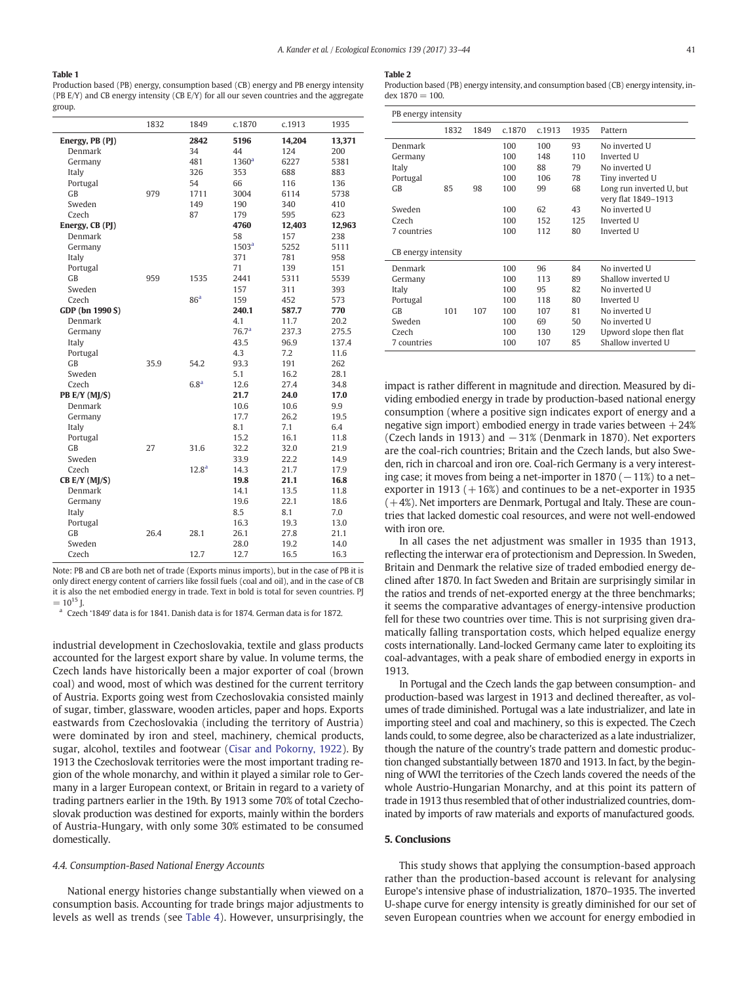#### <span id="page-9-0"></span>Table 1

Production based (PB) energy, consumption based (CB) energy and PB energy intensity (PB E/Y) and CB energy intensity (CB E/Y) for all our seven countries and the aggregate group.

|                  | 1832 | 1849              | c.1870            | c.1913 | 1935   |
|------------------|------|-------------------|-------------------|--------|--------|
| Energy, PB (PJ)  |      | 2842              | 5196              | 14,204 | 13,371 |
| Denmark          |      | 34                | 44                | 124    | 200    |
| Germany          |      | 481               | 1360 <sup>a</sup> | 6227   | 5381   |
| Italy            |      | 326               | 353               | 688    | 883    |
| Portugal         |      | 54                | 66                | 116    | 136    |
| GB               | 979  | 1711              | 3004              | 6114   | 5738   |
| Sweden           |      | 149               | 190               | 340    | 410    |
| Czech            |      | 87                | 179               | 595    | 623    |
| Energy, CB (PJ)  |      |                   | 4760              | 12,403 | 12,963 |
| Denmark          |      |                   | 58                | 157    | 238    |
| Germany          |      |                   | 1503 <sup>a</sup> | 5252   | 5111   |
| Italy            |      |                   | 371               | 781    | 958    |
| Portugal         |      |                   | 71                | 139    | 151    |
| GB               | 959  | 1535              | 2441              | 5311   | 5539   |
| Sweden           |      |                   | 157               | 311    | 393    |
| Czech            |      | 86 <sup>a</sup>   | 159               | 452    | 573    |
| GDP (bn 1990 \$) |      |                   | 240.1             | 587.7  | 770    |
| Denmark          |      |                   | 4.1               | 11.7   | 20.2   |
| Germany          |      |                   | 76.7 <sup>a</sup> | 237.3  | 275.5  |
| Italy            |      |                   | 43.5              | 96.9   | 137.4  |
| Portugal         |      |                   | 4.3               | 7.2    | 11.6   |
| GB               | 35.9 | 54.2              | 93.3              | 191    | 262    |
| Sweden           |      |                   | 5.1               | 16.2   | 28.1   |
| Czech            |      | 6.8 <sup>a</sup>  | 12.6              | 27.4   | 34.8   |
| PB E/Y (MJ/S)    |      |                   | 21.7              | 24.0   | 17.0   |
| Denmark          |      |                   | 10.6              | 10.6   | 9.9    |
| Germany          |      |                   | 17.7              | 26.2   | 19.5   |
| Italy            |      |                   | 8.1               | 7.1    | 6.4    |
| Portugal         |      |                   | 15.2              | 16.1   | 11.8   |
| GB               | 27   | 31.6              | 32.2              | 32.0   | 21.9   |
| Sweden           |      |                   | 33.9              | 22.2   | 14.9   |
| Czech            |      | 12.8 <sup>a</sup> | 14.3              | 21.7   | 17.9   |
| $CB E/Y$ (MJ/S)  |      |                   | 19.8              | 21.1   | 16.8   |
| Denmark          |      |                   | 14.1              | 13.5   | 11.8   |
| Germany          |      |                   | 19.6              | 22.1   | 18.6   |
| Italy            |      |                   | 8.5               | 8.1    | 7.0    |
| Portugal         |      |                   | 16.3              | 19.3   | 13.0   |
| GB               | 26.4 | 28.1              | 26.1              | 27.8   | 21.1   |
| Sweden           |      |                   | 28.0              | 19.2   | 14.0   |
| Czech            |      | 12.7              | 12.7              | 16.5   | 16.3   |

Note: PB and CB are both net of trade (Exports minus imports), but in the case of PB it is only direct energy content of carriers like fossil fuels (coal and oil), and in the case of CB it is also the net embodied energy in trade. Text in bold is total for seven countries. PJ  $= 10^{15}$  J.

<sup>a</sup> Czech '1849' data is for 1841. Danish data is for 1874. German data is for 1872.

industrial development in Czechoslovakia, textile and glass products accounted for the largest export share by value. In volume terms, the Czech lands have historically been a major exporter of coal (brown coal) and wood, most of which was destined for the current territory of Austria. Exports going west from Czechoslovakia consisted mainly of sugar, timber, glassware, wooden articles, paper and hops. Exports eastwards from Czechoslovakia (including the territory of Austria) were dominated by iron and steel, machinery, chemical products, sugar, alcohol, textiles and footwear ([Cisar and Pokorny, 1922](#page-11-0)). By 1913 the Czechoslovak territories were the most important trading region of the whole monarchy, and within it played a similar role to Germany in a larger European context, or Britain in regard to a variety of trading partners earlier in the 19th. By 1913 some 70% of total Czechoslovak production was destined for exports, mainly within the borders of Austria-Hungary, with only some 30% estimated to be consumed domestically.

#### 4.4. Consumption-Based National Energy Accounts

National energy histories change substantially when viewed on a consumption basis. Accounting for trade brings major adjustments to levels as well as trends (see [Table 4](#page-10-0)). However, unsurprisingly, the

#### Table 2

Production based (PB) energy intensity, and consumption based (CB) energy intensity, in $dex$  1870  $= 100$ .

| PB energy intensity |      |      |        |        |      |                          |
|---------------------|------|------|--------|--------|------|--------------------------|
|                     | 1832 | 1849 | c.1870 | c.1913 | 1935 | Pattern                  |
| Denmark             |      |      | 100    | 100    | q3   | No inverted U            |
| Germany             |      |      | 100    | 148    | 110  | Inverted II              |
| Italy               |      |      | 100    | 88     | 79   | No inverted II           |
| Portugal            |      |      | 100    | 106    | 78   | Tiny inverted U          |
| <b>GB</b>           | 85   | 98   | 100    | 99     | 68   | Long run inverted U, but |
|                     |      |      |        |        |      | very flat 1849-1913      |
| Sweden              |      |      | 100    | 62     | 43   | No inverted II           |
| Czech               |      |      | 100    | 152    | 125  | Inverted U               |
| 7 countries         |      |      | 100    | 112    | 80   | Inverted U               |
|                     |      |      |        |        |      |                          |
| CB energy intensity |      |      |        |        |      |                          |
| Denmark             |      |      | 100    | 96     | 84   | No inverted U            |
| Germany             |      |      | 100    | 113    | 89   | Shallow inverted U       |
| Italy               |      |      | 100    | 95     | 82   | No inverted II           |
| Portugal            |      |      | 100    | 118    | 80   | Inverted II              |
| G <sub>B</sub>      | 101  | 107  | 100    | 107    | 81   | No inverted II           |
| Sweden              |      |      | 100    | 69     | 50   | No inverted U            |
| Czech               |      |      | 100    | 130    | 129  | Upword slope then flat   |
| 7 countries         |      |      | 100    | 107    | 85   | Shallow inverted U       |

impact is rather different in magnitude and direction. Measured by dividing embodied energy in trade by production-based national energy consumption (where a positive sign indicates export of energy and a negative sign import) embodied energy in trade varies between  $+24%$ (Czech lands in 1913) and −31% (Denmark in 1870). Net exporters are the coal-rich countries; Britain and the Czech lands, but also Sweden, rich in charcoal and iron ore. Coal-rich Germany is a very interesting case; it moves from being a net-importer in 1870 ( $-11\%$ ) to a net– exporter in 1913  $(+16%)$  and continues to be a net-exporter in 1935 (+4%). Net importers are Denmark, Portugal and Italy. These are countries that lacked domestic coal resources, and were not well-endowed with iron ore.

In all cases the net adjustment was smaller in 1935 than 1913, reflecting the interwar era of protectionism and Depression. In Sweden, Britain and Denmark the relative size of traded embodied energy declined after 1870. In fact Sweden and Britain are surprisingly similar in the ratios and trends of net-exported energy at the three benchmarks; it seems the comparative advantages of energy-intensive production fell for these two countries over time. This is not surprising given dramatically falling transportation costs, which helped equalize energy costs internationally. Land-locked Germany came later to exploiting its coal-advantages, with a peak share of embodied energy in exports in 1913.

In Portugal and the Czech lands the gap between consumption- and production-based was largest in 1913 and declined thereafter, as volumes of trade diminished. Portugal was a late industrializer, and late in importing steel and coal and machinery, so this is expected. The Czech lands could, to some degree, also be characterized as a late industrializer, though the nature of the country's trade pattern and domestic production changed substantially between 1870 and 1913. In fact, by the beginning of WWI the territories of the Czech lands covered the needs of the whole Austrio-Hungarian Monarchy, and at this point its pattern of trade in 1913 thus resembled that of other industrialized countries, dominated by imports of raw materials and exports of manufactured goods.

#### 5. Conclusions

This study shows that applying the consumption-based approach rather than the production-based account is relevant for analysing Europe's intensive phase of industrialization, 1870–1935. The inverted U-shape curve for energy intensity is greatly diminished for our set of seven European countries when we account for energy embodied in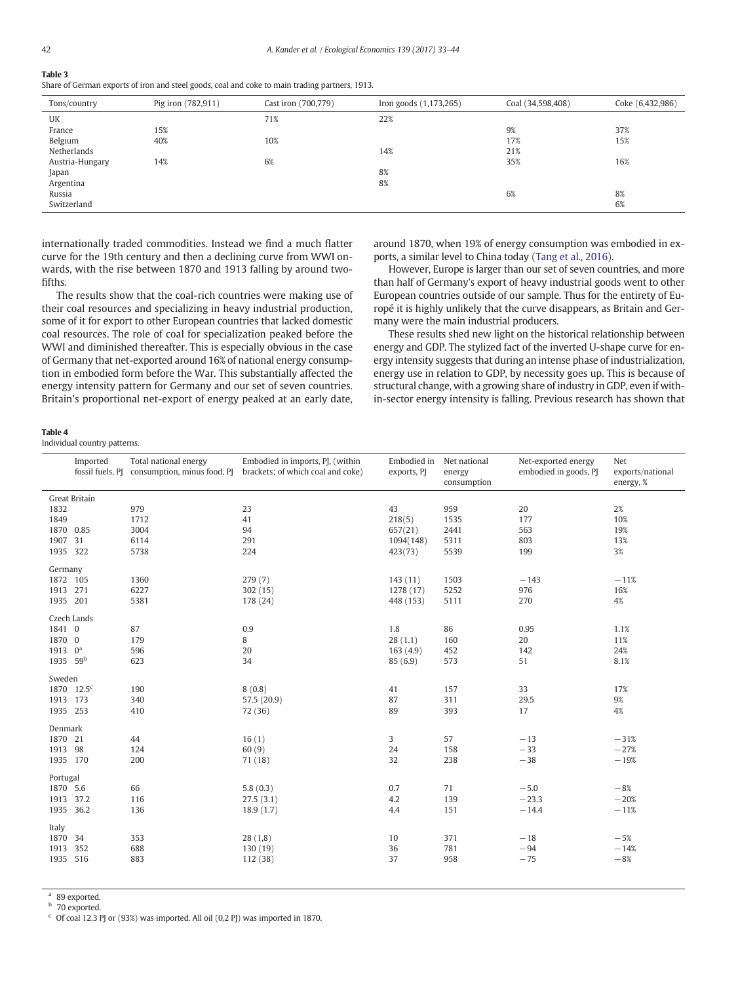### <span id="page-10-0"></span>Table 3

Share of German exports of iron and steel goods, coal and coke to main trading partners, 1913.

| Tons/country    | Pig iron (782,911) | Cast iron (700,779) | Iron goods (1,173,265) | Coal (34,598,408) | Coke (6,432,986) |
|-----------------|--------------------|---------------------|------------------------|-------------------|------------------|
| UK              |                    | 71%                 | 22%                    |                   |                  |
| France          | 15%                |                     |                        | 9%                | 37%              |
| Belgium         | 40%                | 10%                 |                        | 17%               | 15%              |
| Netherlands     |                    |                     | 14%                    | 21%               |                  |
| Austria-Hungary | 14%                | 6%                  |                        | 35%               | 16%              |
| Japan           |                    |                     | 8%                     |                   |                  |
| Argentina       |                    |                     | 8%                     |                   |                  |
| Russia          |                    |                     |                        | 6%                | 8%               |
| Switzerland     |                    |                     |                        |                   | 6%               |

internationally traded commodities. Instead we find a much flatter curve for the 19th century and then a declining curve from WWI onwards, with the rise between 1870 and 1913 falling by around twofifths.

The results show that the coal-rich countries were making use of their coal resources and specializing in heavy industrial production, some of it for export to other European countries that lacked domestic coal resources. The role of coal for specialization peaked before the WWI and diminished thereafter. This is especially obvious in the case of Germany that net-exported around 16% of national energy consumption in embodied form before the War. This substantially affected the energy intensity pattern for Germany and our set of seven countries. Britain's proportional net-export of energy peaked at an early date,

around 1870, when 19% of energy consumption was embodied in exports, a similar level to China today ([Tang et al., 2016](#page-12-0)).

However, Europe is larger than our set of seven countries, and more than half of Germany's export of heavy industrial goods went to other European countries outside of our sample. Thus for the entirety of Europé it is highly unlikely that the curve disappears, as Britain and Germany were the main industrial producers.

These results shed new light on the historical relationship between energy and GDP. The stylized fact of the inverted U-shape curve for energy intensity suggests that during an intense phase of industrialization, energy use in relation to GDP, by necessity goes up. This is because of structural change, with a growing share of industry in GDP, even if within-sector energy intensity is falling. Previous research has shown that

#### Table 4

Individual country patterns.

|                                                              | Imported<br>fossil fuels, PJ | Total national energy<br>consumption, minus food, PJ | Embodied in imports, PJ, (within<br>brackets; of which coal and coke) | Embodied in<br>exports, PJ             | Net national<br>energy<br>consumption | Net-exported energy<br>embodied in goods, PJ | Net<br>exports/national<br>energy, % |
|--------------------------------------------------------------|------------------------------|------------------------------------------------------|-----------------------------------------------------------------------|----------------------------------------|---------------------------------------|----------------------------------------------|--------------------------------------|
| 1832<br>1849                                                 | Great Britain                | 979<br>1712                                          | 23<br>41                                                              | 43<br>218(5)                           | 959<br>1535                           | 20<br>177                                    | 2%<br>10%                            |
| 1870 0.85<br>1907 31<br>1935 322                             |                              | 3004<br>6114<br>5738                                 | 94<br>291<br>224                                                      | 657(21)<br>1094(148)<br>423(73)        | 2441<br>5311<br>5539                  | 563<br>803<br>199                            | 19%<br>13%<br>3%                     |
| Germany<br>1872 105<br>1913 271<br>1935 201                  |                              | 1360<br>6227<br>5381                                 | 279(7)<br>302(15)<br>178 (24)                                         | 143(11)<br>1278 (17)<br>448 (153)      | 1503<br>5252<br>5111                  | $-143$<br>976<br>270                         | $-11%$<br>16%<br>4%                  |
| 1841 0<br>1870 0<br>$1913 \quad 0^a$<br>1935 59 <sup>b</sup> | Czech Lands                  | 87<br>179<br>596<br>623                              | 0.9<br>8<br>20<br>34                                                  | 1.8<br>28(1.1)<br>163(4.9)<br>85 (6.9) | 86<br>160<br>452<br>573               | 0.95<br>20<br>142<br>51                      | 1.1%<br>11%<br>24%<br>8.1%           |
| Sweden<br>1913 173<br>1935 253                               | 1870 12.5 <sup>c</sup>       | 190<br>340<br>410                                    | 8(0.8)<br>57.5 (20.9)<br>72 (36)                                      | 41<br>87<br>89                         | 157<br>311<br>393                     | 33<br>29.5<br>17                             | 17%<br>9%<br>4%                      |
| Denmark<br>1870 21<br>1913 98<br>1935 170                    |                              | 44<br>124<br>200                                     | 16(1)<br>60(9)<br>71 (18)                                             | 3<br>24<br>32                          | 57<br>158<br>238                      | $-13$<br>$-33$<br>$-38$                      | $-31%$<br>$-27%$<br>$-19%$           |
| Portugal<br>1870 5.6<br>1913 37.2<br>1935 36.2               |                              | 66<br>116<br>136                                     | 5.8(0.3)<br>27.5(3.1)<br>18.9(1.7)                                    | 0.7<br>4.2<br>4.4                      | 71<br>139<br>151                      | $-5.0$<br>$-23.3$<br>$-14.4$                 | $-8%$<br>$-20%$<br>$-11%$            |
| Italy<br>1870 34<br>1913<br>1935 516                         | 352                          | 353<br>688<br>883                                    | 28(1,8)<br>130(19)<br>112 (38)                                        | 10<br>36<br>37                         | 371<br>781<br>958                     | $-18$<br>$-94$<br>$-75$                      | $-5%$<br>$-14%$<br>$-8%$             |

<sup>a</sup> 89 exported.

<sup>b</sup> 70 exported.

 $c$  Of coal 12.3 PJ or (93%) was imported. All oil (0.2 PJ) was imported in 1870.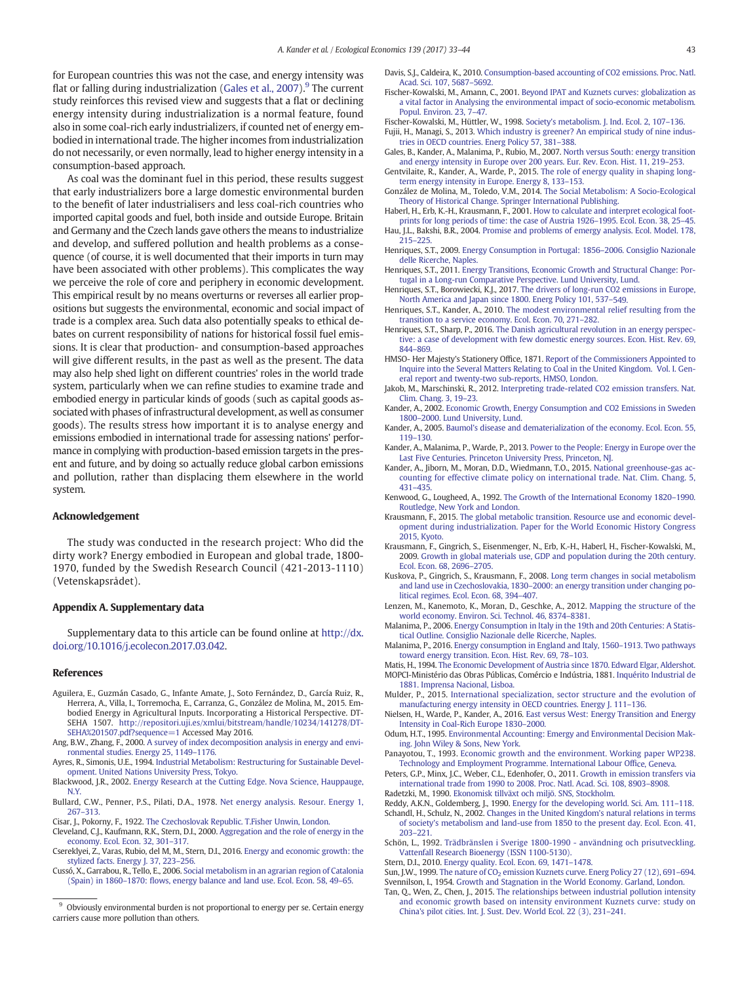<span id="page-11-0"></span>for European countries this was not the case, and energy intensity was flat or falling during industrialization (Gales et al., 2007).<sup>9</sup> The current study reinforces this revised view and suggests that a flat or declining energy intensity during industrialization is a normal feature, found also in some coal-rich early industrializers, if counted net of energy embodied in international trade. The higher incomes from industrialization do not necessarily, or even normally, lead to higher energy intensity in a consumption-based approach.

As coal was the dominant fuel in this period, these results suggest that early industrializers bore a large domestic environmental burden to the benefit of later industrialisers and less coal-rich countries who imported capital goods and fuel, both inside and outside Europe. Britain and Germany and the Czech lands gave others the means to industrialize and develop, and suffered pollution and health problems as a consequence (of course, it is well documented that their imports in turn may have been associated with other problems). This complicates the way we perceive the role of core and periphery in economic development. This empirical result by no means overturns or reverses all earlier propositions but suggests the environmental, economic and social impact of trade is a complex area. Such data also potentially speaks to ethical debates on current responsibility of nations for historical fossil fuel emissions. It is clear that production- and consumption-based approaches will give different results, in the past as well as the present. The data may also help shed light on different countries' roles in the world trade system, particularly when we can refine studies to examine trade and embodied energy in particular kinds of goods (such as capital goods associated with phases of infrastructural development, as well as consumer goods). The results stress how important it is to analyse energy and emissions embodied in international trade for assessing nations' performance in complying with production-based emission targets in the present and future, and by doing so actually reduce global carbon emissions and pollution, rather than displacing them elsewhere in the world system.

#### Acknowledgement

The study was conducted in the research project: Who did the dirty work? Energy embodied in European and global trade, 1800- 1970, funded by the Swedish Research Council (421-2013-1110) (Vetenskapsrådet).

#### Appendix A. Supplementary data

Supplementary data to this article can be found online at [http://dx.](http://dx.doi.org/10.1016/j.ecolecon.2017.03.042) [doi.org/10.1016/j.ecolecon.2017.03.042](http://dx.doi.org/10.1016/j.ecolecon.2017.03.042).

#### References

- Aguilera, E., Guzmán Casado, G., Infante Amate, J., Soto Fernández, D., García Ruiz, R., Herrera, A., Villa, I., Torremocha, E., Carranza, G., González de Molina, M., 2015. Embodied Energy in Agricultural Inputs. Incorporating a Historical Perspective. DT-SEHA 1507. [http://repositori.uji.es/xmlui/bitstream/handle/10234/141278/DT-](http://repositori.uji.es/xmlui/bitstream/handle/10234/141278/DT-SEHA%201507.pdf?sequence=1)[SEHA%201507.pdf?sequence=1](http://repositori.uji.es/xmlui/bitstream/handle/10234/141278/DT-SEHA%201507.pdf?sequence=1) Accessed May 2016.
- Ang, B.W., Zhang, F., 2000. [A survey of index decomposition analysis in energy and envi](http://refhub.elsevier.com/S0921-8009(16)30776-5/rf0010)[ronmental studies. Energy 25, 1149](http://refhub.elsevier.com/S0921-8009(16)30776-5/rf0010)–1176.
- Ayres, R., Simonis, U.E., 1994. [Industrial Metabolism: Restructuring for Sustainable Devel](http://refhub.elsevier.com/S0921-8009(16)30776-5/rf0015)[opment. United Nations University Press, Tokyo](http://refhub.elsevier.com/S0921-8009(16)30776-5/rf0015).
- Blackwood, J.R., 2002. [Energy Research at the Cutting Edge. Nova Science, Hauppauge,](http://refhub.elsevier.com/S0921-8009(16)30776-5/rf0020) [N.Y](http://refhub.elsevier.com/S0921-8009(16)30776-5/rf0020).
- Bullard, C.W., Penner, P.S., Pilati, D.A., 1978. [Net energy analysis. Resour. Energy 1,](http://refhub.elsevier.com/S0921-8009(16)30776-5/rf0025) [267](http://refhub.elsevier.com/S0921-8009(16)30776-5/rf0025)–313.
- Cisar, J., Pokorny, F., 1922. [The Czechoslovak Republic. T.Fisher Unwin, London](http://refhub.elsevier.com/S0921-8009(16)30776-5/rf0030).
- Cleveland, C.J., Kaufmann, R.K., Stern, D.I., 2000. [Aggregation and the role of energy in the](http://refhub.elsevier.com/S0921-8009(16)30776-5/rf0035) [economy. Ecol. Econ. 32, 301](http://refhub.elsevier.com/S0921-8009(16)30776-5/rf0035)–317.
- Csereklyei, Z., Varas, Rubio, del M, M., Stern, D.I., 2016. [Energy and economic growth: the](http://refhub.elsevier.com/S0921-8009(16)30776-5/rf0040) [stylized facts. Energy J. 37, 223](http://refhub.elsevier.com/S0921-8009(16)30776-5/rf0040)–256.
- Cussó, X., Garrabou, R., Tello, E., 2006. [Social metabolism in an agrarian region of Catalonia](http://refhub.elsevier.com/S0921-8009(16)30776-5/rf0045) (Spain) in 1860–1870: fl[ows, energy balance and land use. Ecol. Econ. 58, 49](http://refhub.elsevier.com/S0921-8009(16)30776-5/rf0045)–65.
- Fischer-Kowalski, M., Amann, C., 2001. [Beyond IPAT and Kuznets curves: globalization as](http://refhub.elsevier.com/S0921-8009(16)30776-5/rf0055) [a vital factor in Analysing the environmental impact of socio-economic metabolism.](http://refhub.elsevier.com/S0921-8009(16)30776-5/rf0055) [Popul. Environ. 23, 7](http://refhub.elsevier.com/S0921-8009(16)30776-5/rf0055)–47.
- Fischer-Kowalski, M., Hüttler, W., 1998. [Society's metabolism. J. Ind. Ecol. 2, 107](http://refhub.elsevier.com/S0921-8009(16)30776-5/rf0060)–136. Fujii, H., Managi, S., 2013. [Which industry is greener? An empirical study of nine indus](http://refhub.elsevier.com/S0921-8009(16)30776-5/rf0065)[tries in OECD countries. Energ Policy 57, 381](http://refhub.elsevier.com/S0921-8009(16)30776-5/rf0065)–388.
- Gales, B., Kander, A., Malanima, P., Rubio, M., 2007. [North versus South: energy transition](http://refhub.elsevier.com/S0921-8009(16)30776-5/rf0070) [and energy intensity in Europe over 200 years. Eur. Rev. Econ. Hist. 11, 219](http://refhub.elsevier.com/S0921-8009(16)30776-5/rf0070)–253.
- Gentvilaite, R., Kander, A., Warde, P., 2015. [The role of energy quality in shaping long](http://refhub.elsevier.com/S0921-8009(16)30776-5/rf0075)[term energy intensity in Europe. Energy 8, 133](http://refhub.elsevier.com/S0921-8009(16)30776-5/rf0075)–153.
- González de Molina, M., Toledo, V.M., 2014. [The Social Metabolism: A Socio-Ecological](http://refhub.elsevier.com/S0921-8009(16)30776-5/rf0080) [Theory of Historical Change. Springer International Publishing](http://refhub.elsevier.com/S0921-8009(16)30776-5/rf0080).
- Haberl, H., Erb, K.-H., Krausmann, F., 2001. [How to calculate and interpret ecological foot](http://refhub.elsevier.com/S0921-8009(16)30776-5/rf0085)[prints for long periods of time: the case of Austria 1926](http://refhub.elsevier.com/S0921-8009(16)30776-5/rf0085)–1995. Ecol. Econ. 38, 25–45.
- Hau, J.L., Bakshi, B.R., 2004. [Promise and problems of emergy analysis. Ecol. Model. 178,](http://refhub.elsevier.com/S0921-8009(16)30776-5/rf0090) [215](http://refhub.elsevier.com/S0921-8009(16)30776-5/rf0090)–225.
- Henriques, S.T., 2009. [Energy Consumption in Portugal: 1856](http://refhub.elsevier.com/S0921-8009(16)30776-5/rf0095)–2006. Consiglio Nazionale [delle Ricerche, Naples](http://refhub.elsevier.com/S0921-8009(16)30776-5/rf0095).
- Henriques, S.T., 2011. [Energy Transitions, Economic Growth and Structural Change: Por](http://refhub.elsevier.com/S0921-8009(16)30776-5/rf0100)[tugal in a Long-run Comparative Perspective. Lund University, Lund](http://refhub.elsevier.com/S0921-8009(16)30776-5/rf0100).
- Henriques, S.T., Borowiecki, K.J., 2017. [The drivers of long-run CO2 emissions in Europe,](http://refhub.elsevier.com/S0921-8009(16)30776-5/rf0105) [North America and Japan since 1800. Energ Policy 101, 537](http://refhub.elsevier.com/S0921-8009(16)30776-5/rf0105)–549.
- Henriques, S.T., Kander, A., 2010. [The modest environmental relief resulting from the](http://refhub.elsevier.com/S0921-8009(16)30776-5/rf0110) [transition to a service economy. Ecol. Econ. 70, 271](http://refhub.elsevier.com/S0921-8009(16)30776-5/rf0110)–282.
- Henriques, S.T., Sharp, P., 2016. [The Danish agricultural revolution in an energy perspec](http://refhub.elsevier.com/S0921-8009(16)30776-5/rf0115)[tive: a case of development with few domestic energy sources. Econ. Hist. Rev. 69,](http://refhub.elsevier.com/S0921-8009(16)30776-5/rf0115) [844](http://refhub.elsevier.com/S0921-8009(16)30776-5/rf0115)–869.
- HMSO- Her Majesty's Stationery Office, 1871. [Report of the Commissioners Appointed to](http://refhub.elsevier.com/S0921-8009(16)30776-5/rf0120) [Inquire into the Several Matters Relating to Coal in the United Kingdom. Vol. I. Gen](http://refhub.elsevier.com/S0921-8009(16)30776-5/rf0120)[eral report and twenty-two sub-reports, HMSO, London](http://refhub.elsevier.com/S0921-8009(16)30776-5/rf0120).
- Jakob, M., Marschinski, R., 2012. [Interpreting trade-related CO2 emission transfers. Nat.](http://refhub.elsevier.com/S0921-8009(16)30776-5/rf0130) [Clim. Chang. 3, 19](http://refhub.elsevier.com/S0921-8009(16)30776-5/rf0130)–23.
- Kander, A., 2002. [Economic Growth, Energy Consumption and CO2 Emissions in Sweden](http://refhub.elsevier.com/S0921-8009(16)30776-5/rf0135) 1800–[2000. Lund University, Lund](http://refhub.elsevier.com/S0921-8009(16)30776-5/rf0135).
- Kander, A., 2005. [Baumol's disease and dematerialization of the economy. Ecol. Econ. 55,](http://refhub.elsevier.com/S0921-8009(16)30776-5/rf0140) [119](http://refhub.elsevier.com/S0921-8009(16)30776-5/rf0140)–130.
- Kander, A., Malanima, P., Warde, P., 2013. [Power to the People: Energy in Europe over the](http://refhub.elsevier.com/S0921-8009(16)30776-5/rf0145) [Last Five Centuries. Princeton University Press, Princeton, NJ](http://refhub.elsevier.com/S0921-8009(16)30776-5/rf0145).
- Kander, A., Jiborn, M., Moran, D.D., Wiedmann, T.O., 2015. [National greenhouse-gas ac](http://refhub.elsevier.com/S0921-8009(16)30776-5/rf0150)[counting for effective climate policy on international trade. Nat. Clim. Chang. 5,](http://refhub.elsevier.com/S0921-8009(16)30776-5/rf0150) [431](http://refhub.elsevier.com/S0921-8009(16)30776-5/rf0150)–435.
- Kenwood, G., Lougheed, A., 1992. [The Growth of the International Economy 1820](http://refhub.elsevier.com/S0921-8009(16)30776-5/rf0155)–1990. [Routledge, New York and London](http://refhub.elsevier.com/S0921-8009(16)30776-5/rf0155).
- Krausmann, F., 2015. [The global metabolic transition. Resource use and economic devel](http://refhub.elsevier.com/S0921-8009(16)30776-5/rf0160)[opment during industrialization. Paper for the World Economic History Congress](http://refhub.elsevier.com/S0921-8009(16)30776-5/rf0160) [2015, Kyoto.](http://refhub.elsevier.com/S0921-8009(16)30776-5/rf0160)
- Krausmann, F., Gingrich, S., Eisenmenger, N., Erb, K.-H., Haberl, H., Fischer-Kowalski, M., 2009. [Growth in global materials use, GDP and population during the 20th century.](http://refhub.elsevier.com/S0921-8009(16)30776-5/rf0165) [Ecol. Econ. 68, 2696](http://refhub.elsevier.com/S0921-8009(16)30776-5/rf0165)–2705.
- Kuskova, P., Gingrich, S., Krausmann, F., 2008. [Long term changes in social metabolism](http://refhub.elsevier.com/S0921-8009(16)30776-5/rf0170) and land use in Czechoslovakia, 1830–[2000: an energy transition under changing po](http://refhub.elsevier.com/S0921-8009(16)30776-5/rf0170)[litical regimes. Ecol. Econ. 68, 394](http://refhub.elsevier.com/S0921-8009(16)30776-5/rf0170)–407.
- Lenzen, M., Kanemoto, K., Moran, D., Geschke, A., 2012. [Mapping the structure of the](http://refhub.elsevier.com/S0921-8009(16)30776-5/rf0175) [world economy. Environ. Sci. Technol. 46, 8374](http://refhub.elsevier.com/S0921-8009(16)30776-5/rf0175)–8381.
- Malanima, P., 2006. [Energy Consumption in Italy in the 19th and 20th Centuries: A Statis](http://refhub.elsevier.com/S0921-8009(16)30776-5/rf0180)[tical Outline. Consiglio Nazionale delle Ricerche, Naples.](http://refhub.elsevier.com/S0921-8009(16)30776-5/rf0180)
- Malanima, P., 2016. [Energy consumption in England and Italy, 1560](http://refhub.elsevier.com/S0921-8009(16)30776-5/rf0185)–1913. Two pathways [toward energy transition. Econ. Hist. Rev. 69, 78](http://refhub.elsevier.com/S0921-8009(16)30776-5/rf0185)–103.
- Matis, H., 1994. [The Economic Development of Austria since 1870. Edward Elgar, Aldershot](http://refhub.elsevier.com/S0921-8009(16)30776-5/rf0190). MOPCI-Ministério das Obras Públicas, Comércio e Indústria, 1881. [Inquérito Industrial de](http://refhub.elsevier.com/S0921-8009(16)30776-5/rf0195) [1881. Imprensa Nacional, Lisboa.](http://refhub.elsevier.com/S0921-8009(16)30776-5/rf0195)
- Mulder, P., 2015. [International specialization, sector structure and the evolution of](http://refhub.elsevier.com/S0921-8009(16)30776-5/rf0200) [manufacturing energy intensity in OECD countries. Energy J. 111](http://refhub.elsevier.com/S0921-8009(16)30776-5/rf0200)–136.
- Nielsen, H., Warde, P., Kander, A., 2016. [East versus West: Energy Transition and Energy](http://refhub.elsevier.com/S0921-8009(16)30776-5/rf0205) [Intensity in Coal-Rich Europe 1830](http://refhub.elsevier.com/S0921-8009(16)30776-5/rf0205)–2000.
- Odum, H.T., 1995. [Environmental Accounting: Emergy and Environmental Decision Mak](http://refhub.elsevier.com/S0921-8009(16)30776-5/rf0210)[ing. John Wiley & Sons, New York.](http://refhub.elsevier.com/S0921-8009(16)30776-5/rf0210)
- Panayotou, T., 1993. [Economic growth and the environment. Working paper WP238.](http://refhub.elsevier.com/S0921-8009(16)30776-5/rf0215) [Technology and Employment Programme. International Labour Of](http://refhub.elsevier.com/S0921-8009(16)30776-5/rf0215)fice, Geneva.
- Peters, G.P., Minx, J.C., Weber, C.L., Edenhofer, O., 2011. [Growth in emission transfers via](http://refhub.elsevier.com/S0921-8009(16)30776-5/rf0220) [international trade from 1990 to 2008. Proc. Natl. Acad. Sci. 108, 8903](http://refhub.elsevier.com/S0921-8009(16)30776-5/rf0220)–8908.
- Radetzki, M., 1990. [Ekonomisk tillväxt och miljö. SNS, Stockholm](http://refhub.elsevier.com/S0921-8009(16)30776-5/rf0225).
- Reddy, A.K.N., Goldemberg, J., 1990. [Energy for the developing world. Sci. Am. 111](http://refhub.elsevier.com/S0921-8009(16)30776-5/rf0230)–118. Schandl, H., Schulz, N., 2002. [Changes in the United Kingdom's natural relations in terms](http://refhub.elsevier.com/S0921-8009(16)30776-5/rf0235) [of society's metabolism and land-use from 1850 to the present day. Ecol. Econ. 41,](http://refhub.elsevier.com/S0921-8009(16)30776-5/rf0235)
- [203](http://refhub.elsevier.com/S0921-8009(16)30776-5/rf0235)–221. Schön, L., 1992. [Trädbränslen i Sverige 1800-1990 - användning och prisutveckling.](http://refhub.elsevier.com/S0921-8009(16)30776-5/rf4369)
- [Vattenfall Research Bioenergy \(ISSN 1100-5130\)](http://refhub.elsevier.com/S0921-8009(16)30776-5/rf4369).
- Stern, D.I., 2010. [Energy quality. Ecol. Econ. 69, 1471](http://refhub.elsevier.com/S0921-8009(16)30776-5/rf0240)–1478.
- Sun, J.W., 1999. The nature of CO<sub>2</sub> [emission Kuznets curve. Energ Policy 27 \(12\), 691](http://refhub.elsevier.com/S0921-8009(16)30776-5/rf0245)–694. Svennilson, I., 1954. [Growth and Stagnation in the World Economy. Garland, London](http://refhub.elsevier.com/S0921-8009(16)30776-5/rf0250).
- Tan, Q., Wen, Z., Chen, J., 2015. [The relationships between industrial pollution intensity](http://refhub.elsevier.com/S0921-8009(16)30776-5/rf0255) [and economic growth based on intensity environment Kuznets curve: study on](http://refhub.elsevier.com/S0921-8009(16)30776-5/rf0255) [China's pilot cities. Int. J. Sust. Dev. World Ecol. 22 \(3\), 231](http://refhub.elsevier.com/S0921-8009(16)30776-5/rf0255)–241.

 $9$  Obviously environmental burden is not proportional to energy per se. Certain energy carriers cause more pollution than others.

Davis, S.J., Caldeira, K., 2010. [Consumption-based accounting of CO2 emissions. Proc. Natl.](http://refhub.elsevier.com/S0921-8009(16)30776-5/rf0050) [Acad. Sci. 107, 5687](http://refhub.elsevier.com/S0921-8009(16)30776-5/rf0050)–5692.